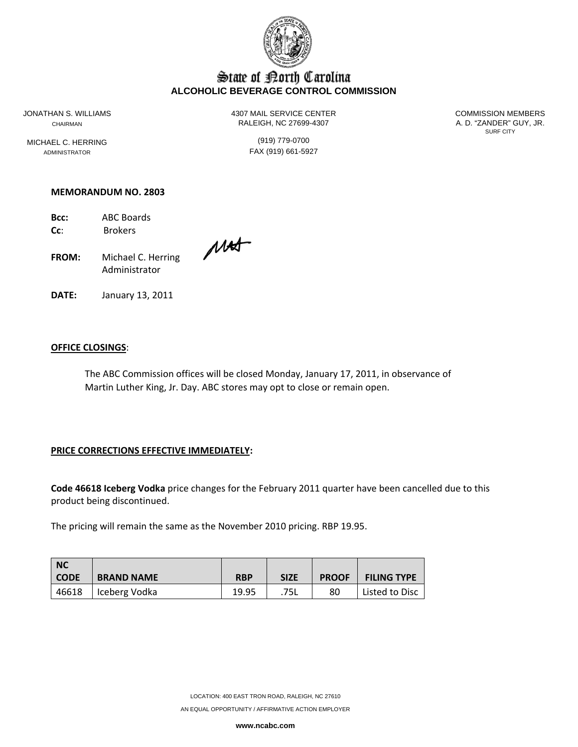

# State of Borth Carolina **ALCOHOLIC BEVERAGE CONTROL COMMISSION**

MICHAEL C. HERRING (919) 779-0700

JONATHAN S. WILLIAMS 4307 MAIL SERVICE CENTER COMMISSION MEMBERS CHAIRMAN CHAIRMAN RALEIGH, NC 27699-4307 A. D. "ZANDER" GUY, JR.

SURF CITY

ADMINISTRATOR **FAX** (919) 661-5927

#### **MEMORANDUM NO. 2803**

**Bcc:** ABC Boards **Cc**: Brokers

**FROM:** Michael C. Herring Administrator

**DATE:** January 13, 2011

#### **OFFICE CLOSINGS**:

The ABC Commission offices will be closed Monday, January 17, 2011, in observance of Martin Luther King, Jr. Day. ABC stores may opt to close or remain open.

## **PRICE CORRECTIONS EFFECTIVE IMMEDIATELY:**

**Code 46618 Iceberg Vodka** price changes for the February 2011 quarter have been cancelled due to this product being discontinued.

The pricing will remain the same as the November 2010 pricing. RBP 19.95.

| <b>NC</b><br><b>CODE</b> | <b>BRAND NAME</b> | <b>RBP</b> | <b>SIZE</b> | <b>PROOF</b> | <b>FILING TYPE</b> |
|--------------------------|-------------------|------------|-------------|--------------|--------------------|
| 46618                    | Iceberg Vodka     | 19.95      | .75L        | 80           | Listed to Disc     |